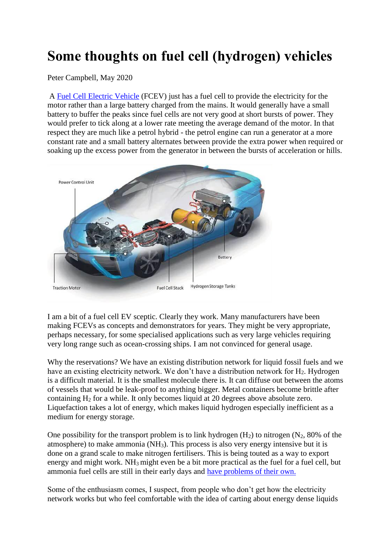## **Some thoughts on fuel cell (hydrogen) vehicles**

Peter Campbell, May 2020

A [Fuel Cell Electric Vehicle](https://en.wikipedia.org/wiki/Fuel_cell_vehicle) (FCEV) just has a fuel cell to provide the electricity for the motor rather than a large battery charged from the mains. It would generally have a small battery to buffer the peaks since fuel cells are not very good at short bursts of power. They would prefer to tick along at a lower rate meeting the average demand of the motor. In that respect they are much like a petrol hybrid - the petrol engine can run a generator at a more constant rate and a small battery alternates between provide the extra power when required or soaking up the excess power from the generator in between the bursts of acceleration or hills.



I am a bit of a fuel cell EV sceptic. Clearly they work. Many manufacturers have been making FCEVs as concepts and demonstrators for years. They might be very appropriate, perhaps necessary, for some specialised applications such as very large vehicles requiring very long range such as ocean-crossing ships. I am not convinced for general usage.

Why the reservations? We have an existing distribution network for liquid fossil fuels and we have an existing electricity network. We don't have a distribution network for H<sub>2</sub>. Hydrogen is a difficult material. It is the smallest molecule there is. It can diffuse out between the atoms of vessels that would be leak-proof to anything bigger. Metal containers become brittle after containing H<sup>2</sup> for a while. It only becomes liquid at 20 degrees above absolute zero. Liquefaction takes a lot of energy, which makes liquid hydrogen especially inefficient as a medium for energy storage.

One possibility for the transport problem is to link hydrogen  $(H_2)$  to nitrogen  $(N_2, 80\%$  of the atmosphere) to make ammonia  $(NH_3)$ . This process is also very energy intensive but it is done on a grand scale to make nitrogen fertilisers. This is being touted as a way to export energy and might work. NH3 might even be a bit more practical as the fuel for a fuel cell, but ammonia fuel cells are still in their early days and [have problems of their own.](https://www.researchgate.net/publication/292138426_A_Review_of_Ammonia_Fuel_Cells)

Some of the enthusiasm comes, I suspect, from people who don't get how the electricity network works but who feel comfortable with the idea of carting about energy dense liquids